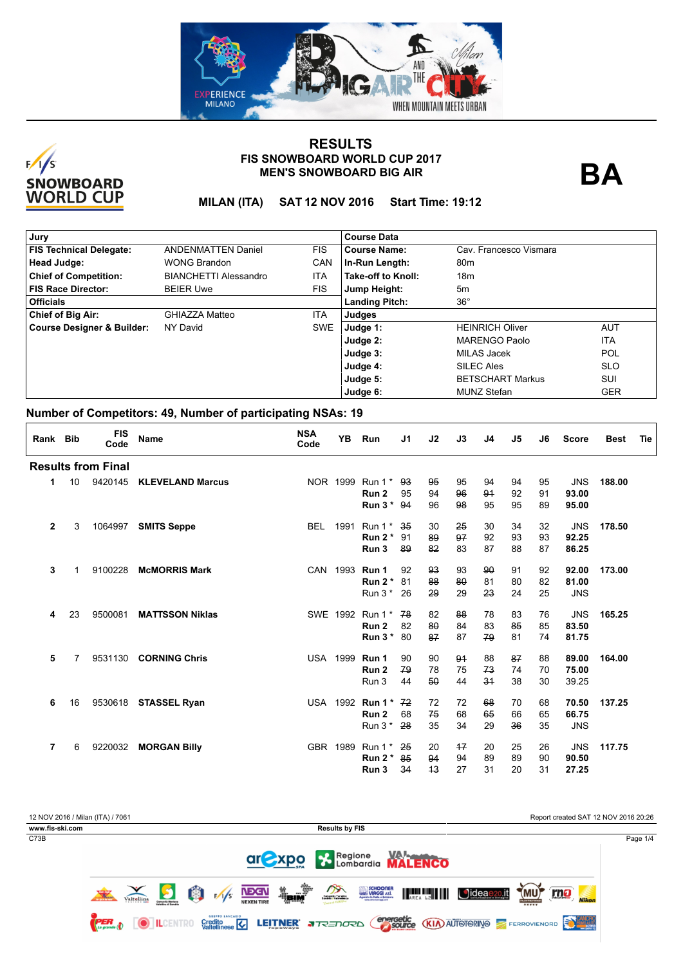



**BA**

**MILAN (ITA) SAT 12 NOV 2016 Start Time: 19:12**

| Jury                           |                              |            | <b>Course Data</b>    |                         |            |  |  |  |  |  |
|--------------------------------|------------------------------|------------|-----------------------|-------------------------|------------|--|--|--|--|--|
| <b>FIS Technical Delegate:</b> | <b>ANDENMATTEN Daniel</b>    | <b>FIS</b> | <b>Course Name:</b>   | Cav. Francesco Vismara  |            |  |  |  |  |  |
| Head Judge:                    | <b>WONG Brandon</b>          | CAN        | In-Run Length:        | 80 <sub>m</sub>         |            |  |  |  |  |  |
| <b>Chief of Competition:</b>   | <b>BIANCHETTI Alessandro</b> | <b>ITA</b> | Take-off to Knoll:    | 18 <sub>m</sub>         |            |  |  |  |  |  |
| FIS Race Director:             | <b>BEIER Uwe</b>             | <b>FIS</b> | Jump Height:          | 5m                      |            |  |  |  |  |  |
| <b>Officials</b>               |                              |            | <b>Landing Pitch:</b> | $36^{\circ}$            |            |  |  |  |  |  |
| <b>Chief of Big Air:</b>       | GHIAZZA Matteo               | <b>ITA</b> | Judges                |                         |            |  |  |  |  |  |
| Course Designer & Builder:     | NY David                     | <b>SWE</b> | Judge 1:              | <b>HEINRICH Oliver</b>  | <b>AUT</b> |  |  |  |  |  |
|                                |                              |            | Judge 2:              | <b>MARENGO Paolo</b>    | <b>ITA</b> |  |  |  |  |  |
|                                |                              |            | Judge 3:              | MILAS Jacek             | <b>POL</b> |  |  |  |  |  |
|                                |                              |            | Judge 4:              | SILEC Ales              | <b>SLO</b> |  |  |  |  |  |
|                                |                              |            | Judge 5:              | <b>BETSCHART Markus</b> | SUI        |  |  |  |  |  |
|                                |                              |            | Judge 6:              | <b>MUNZ Stefan</b>      | <b>GER</b> |  |  |  |  |  |

| Rank Bib     |    | <b>FIS</b><br>Code        | <b>Name</b>             | <b>NSA</b><br>Code | <b>YB</b> | Run              | J <sub>1</sub> | J2 | J3   | J4 | J5 | J6 | <b>Score</b> | <b>Best</b> | Tie |
|--------------|----|---------------------------|-------------------------|--------------------|-----------|------------------|----------------|----|------|----|----|----|--------------|-------------|-----|
|              |    | <b>Results from Final</b> |                         |                    |           |                  |                |    |      |    |    |    |              |             |     |
| 1            | 10 | 9420145                   | <b>KLEVELAND Marcus</b> | NOR 1999           |           | Run $1^*$        | 93             | 95 | 95   | 94 | 94 | 95 | <b>JNS</b>   | 188.00      |     |
|              |    |                           |                         |                    |           | Run 2            | 95             | 94 | 96   | 94 | 92 | 91 | 93.00        |             |     |
|              |    |                           |                         |                    |           | Run $3*$         | -94            | 96 | 98   | 95 | 95 | 89 | 95.00        |             |     |
| $\mathbf{2}$ | 3  | 1064997                   | <b>SMITS Seppe</b>      | <b>BEL</b>         | 1991      | Run $1^*$        | 35             | 30 | 25   | 30 | 34 | 32 | <b>JNS</b>   | 178.50      |     |
|              |    |                           |                         |                    |           | Run $2^*$        | 91             | 89 | 97   | 92 | 93 | 93 | 92.25        |             |     |
|              |    |                           |                         |                    |           | Run 3            | 89             | 82 | 83   | 87 | 88 | 87 | 86.25        |             |     |
| 3            |    | 9100228                   | <b>McMORRIS Mark</b>    |                    | CAN 1993  | Run 1            | 92             | 93 | 93   | 90 | 91 | 92 | 92.00        | 173.00      |     |
|              |    |                           |                         |                    |           | Run $2^*$        | 81             | 88 | 80   | 81 | 80 | 82 | 81.00        |             |     |
|              |    |                           |                         |                    |           | Run $3*$         | 26             | 29 | 29   | 23 | 24 | 25 | <b>JNS</b>   |             |     |
| 4            | 23 | 9500081                   | <b>MATTSSON Niklas</b>  |                    | SWE 1992  | Run 1 *          | 78             | 82 | 88   | 78 | 83 | 76 | <b>JNS</b>   | 165.25      |     |
|              |    |                           |                         |                    |           | Run <sub>2</sub> | 82             | 80 | 84   | 83 | 85 | 85 | 83.50        |             |     |
|              |    |                           |                         |                    |           | Run $3*$         | 80             | 87 | 87   | 79 | 81 | 74 | 81.75        |             |     |
| 5            | 7  | 9531130                   | <b>CORNING Chris</b>    | <b>USA 1999</b>    |           | Run 1            | 90             | 90 | 94   | 88 | 87 | 88 | 89.00        | 164.00      |     |
|              |    |                           |                         |                    |           | Run <sub>2</sub> | 79             | 78 | 75   | 73 | 74 | 70 | 75.00        |             |     |
|              |    |                           |                         |                    |           | Run 3            | 44             | 50 | 44   | 34 | 38 | 30 | 39.25        |             |     |
| 6            | 16 | 9530618                   | <b>STASSEL Ryan</b>     | <b>USA</b>         | 1992      | Run 1 $*$        | 72             | 72 | 72   | 68 | 70 | 68 | 70.50        | 137.25      |     |
|              |    |                           |                         |                    |           | Run 2            | 68             | 75 | 68   | 65 | 66 | 65 | 66.75        |             |     |
|              |    |                           |                         |                    |           | Run $3*$         | 28             | 35 | 34   | 29 | 36 | 35 | <b>JNS</b>   |             |     |
| 7            | 6  | 9220032                   | <b>MORGAN Billy</b>     | GBR 1989           |           | Run $1^*$        | 25             | 20 | $+7$ | 20 | 25 | 26 | <b>JNS</b>   | 117.75      |     |
|              |    |                           |                         |                    |           | Run $2^*$        | 85             | 94 | 94   | 89 | 89 | 90 | 90.50        |             |     |
|              |    |                           |                         |                    |           | Run 3            | 34             | 43 | 27   | 31 | 20 | 31 | 27.25        |             |     |

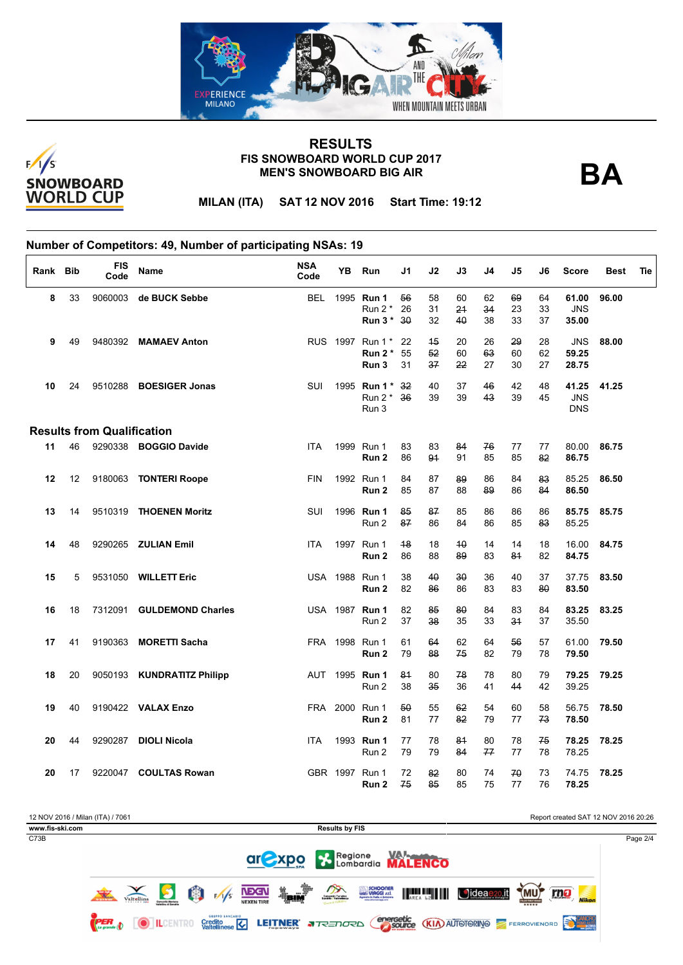



**BA**

**MILAN (ITA) SAT 12 NOV 2016 Start Time: 19:12**

| Rank Bib |    | <b>FIS</b><br>Code                | <b>Name</b>                | <b>NSA</b><br>Code | ΥB   | Run              | J1 | J2 | J3 | J4 | J5 | J6 | <b>Score</b> | <b>Best</b> | Tie |
|----------|----|-----------------------------------|----------------------------|--------------------|------|------------------|----|----|----|----|----|----|--------------|-------------|-----|
| 8        | 33 |                                   | 9060003 de BUCK Sebbe      |                    |      | BEL 1995 Run 1   | 56 | 58 | 60 | 62 | 69 | 64 | 61.00        | 96.00       |     |
|          |    |                                   |                            |                    |      | Run $2^*$        | 26 | 31 | 24 | 34 | 23 | 33 | <b>JNS</b>   |             |     |
|          |    |                                   |                            |                    |      | Run 3 * 30       |    | 32 | 40 | 38 | 33 | 37 | 35.00        |             |     |
| 9        | 49 |                                   | 9480392 MAMAEV Anton       |                    |      | RUS 1997 Run 1 * | 22 | 45 | 20 | 26 | 29 | 28 | <b>JNS</b>   | 88.00       |     |
|          |    |                                   |                            |                    |      | Run $2^*$        | 55 | 52 | 60 | 63 | 60 | 62 | 59.25        |             |     |
|          |    |                                   |                            |                    |      | Run 3            | 31 | 37 | 22 | 27 | 30 | 27 | 28.75        |             |     |
| 10       | 24 |                                   | 9510288 BOESIGER Jonas     | SUI                |      | 1995 Run 1 *     | 32 | 40 | 37 | 46 | 42 | 48 | 41.25        | 41.25       |     |
|          |    |                                   |                            |                    |      | Run 2 *          | 36 | 39 | 39 | 43 | 39 | 45 | <b>JNS</b>   |             |     |
|          |    |                                   |                            |                    |      | Run 3            |    |    |    |    |    |    | <b>DNS</b>   |             |     |
|          |    | <b>Results from Qualification</b> |                            |                    |      |                  |    |    |    |    |    |    |              |             |     |
| 11       | 46 |                                   | 9290338 BOGGIO Davide      | <b>ITA</b>         | 1999 | Run 1            | 83 | 83 | 84 | 76 | 77 | 77 | 80.00        | 86.75       |     |
|          |    |                                   |                            |                    |      | Run <sub>2</sub> | 86 | 94 | 91 | 85 | 85 | 82 | 86.75        |             |     |
|          | 12 |                                   |                            | <b>FIN</b>         |      | 1992 Run 1       | 84 | 87 |    | 86 | 84 | 83 |              | 86.50       |     |
| 12       |    |                                   | 9180063 TONTERI Roope      |                    |      |                  |    |    | 89 |    |    |    | 85.25        |             |     |
|          |    |                                   |                            |                    |      | Run 2            | 85 | 87 | 88 | 89 | 86 | 84 | 86.50        |             |     |
| 13       | 14 |                                   | 9510319 THOENEN Moritz     | SUI                |      | 1996 Run 1       | 85 | 87 | 85 | 86 | 86 | 86 | 85.75        | 85.75       |     |
|          |    |                                   |                            |                    |      | Run 2            | 87 | 86 | 84 | 86 | 85 | 83 | 85.25        |             |     |
| 14       | 48 |                                   | 9290265 ZULIAN Emil        | <b>ITA</b>         |      | 1997 Run 1       | 48 | 18 | 40 | 14 | 14 | 18 | 16.00        | 84.75       |     |
|          |    |                                   |                            |                    |      | Run <sub>2</sub> | 86 | 88 | 89 | 83 | 84 | 82 | 84.75        |             |     |
| 15       | 5  |                                   | 9531050 WILLETT Eric       |                    |      | USA 1988 Run 1   | 38 | 40 | 30 | 36 | 40 | 37 | 37.75        | 83.50       |     |
|          |    |                                   |                            |                    |      | Run 2            | 82 | 86 | 86 | 83 | 83 | 80 | 83.50        |             |     |
| 16       | 18 | 7312091                           | <b>GULDEMOND Charles</b>   |                    |      | USA 1987 Run 1   | 82 | 85 | 80 | 84 | 83 | 84 | 83.25        | 83.25       |     |
|          |    |                                   |                            |                    |      | Run 2            | 37 | 38 | 35 | 33 | 34 | 37 | 35.50        |             |     |
|          |    |                                   |                            |                    |      |                  |    |    |    |    |    |    |              |             |     |
| 17       | 41 | 9190363                           | <b>MORETTI Sacha</b>       |                    |      | FRA 1998 Run 1   | 61 | 64 | 62 | 64 | 56 | 57 | 61.00        | 79.50       |     |
|          |    |                                   |                            |                    |      | Run 2            | 79 | 88 | 75 | 82 | 79 | 78 | 79.50        |             |     |
| 18       | 20 |                                   | 9050193 KUNDRATITZ Philipp |                    |      | AUT 1995 Run 1   | 81 | 80 | 78 | 78 | 80 | 79 | 79.25        | 79.25       |     |
|          |    |                                   |                            |                    |      | Run 2            | 38 | 35 | 36 | 41 | 44 | 42 | 39.25        |             |     |
| 19       | 40 |                                   | 9190422 VALAX Enzo         |                    |      | FRA 2000 Run 1   | 50 | 55 | 62 | 54 | 60 | 58 | 56.75        | 78.50       |     |
|          |    |                                   |                            |                    |      | Run <sub>2</sub> | 81 | 77 | 82 | 79 | 77 | 73 | 78.50        |             |     |
|          |    |                                   |                            |                    |      |                  |    |    |    |    |    |    |              |             |     |
| 20       | 44 | 9290287                           | <b>DIOLI Nicola</b>        | <b>ITA</b>         |      | 1993 Run 1       | 77 | 78 | 84 | 80 | 78 | 75 | 78.25        | 78.25       |     |
|          |    |                                   |                            |                    |      | Run 2            | 79 | 79 | 84 | 77 | 77 | 78 | 78.25        |             |     |
| 20       | 17 |                                   | 9220047 COULTAS Rowan      |                    |      | GBR 1997 Run 1   | 72 | 82 | 80 | 74 | 70 | 73 | 74.75        | 78.25       |     |
|          |    |                                   |                            |                    |      | Run 2            | 75 | 85 | 85 | 75 | 77 | 76 | 78.25        |             |     |

|                 | 12 NOV 2016 / Milan (ITA) / 7061 |            |  |   |                        |                                   |                |                                                  |                                                               |             | Report created SAT 12 NOV 2016 20:26 |               |                           |          |  |  |  |
|-----------------|----------------------------------|------------|--|---|------------------------|-----------------------------------|----------------|--------------------------------------------------|---------------------------------------------------------------|-------------|--------------------------------------|---------------|---------------------------|----------|--|--|--|
| www.fis-ski.com |                                  |            |  |   |                        |                                   |                | <b>Results by FIS</b>                            |                                                               |             |                                      |               |                           |          |  |  |  |
| C73B            |                                  |            |  |   |                        |                                   |                |                                                  |                                                               |             |                                      |               |                           | Page 2/4 |  |  |  |
|                 |                                  |            |  |   |                        |                                   | ar <i>Expo</i> |                                                  |                                                               | Regione VAN |                                      |               |                           |          |  |  |  |
|                 | <b>SALE AND REAL PROPERTY</b>    | Valtellina |  | 的 | F/1/s                  | <b>NEXEN</b><br><b>NEXEN TIRE</b> | <b>Telly</b>   | m<br>Consorzio Turistico<br>Sondrio - Valmelesco | SCHOONER<br>UIAGGI <i>xx</i> l.<br>Agencie in links a stagene | AREA LE     | Jideae <sub>20.it</sub>              | YMU,<br>***** | rno<br><b>Nikon</b>       |          |  |  |  |
|                 | <b>Pan</b>                       |            |  |   | <b>GRUPPO EANCARIO</b> |                                   |                | Credito <b>C</b> LEITNER <b>a</b> TRED ORD       | energetic<br>source                                           |             | <b>KIA) AUTOTORINO</b>               |               | <b>EXAMPLE DE L'ANCHO</b> |          |  |  |  |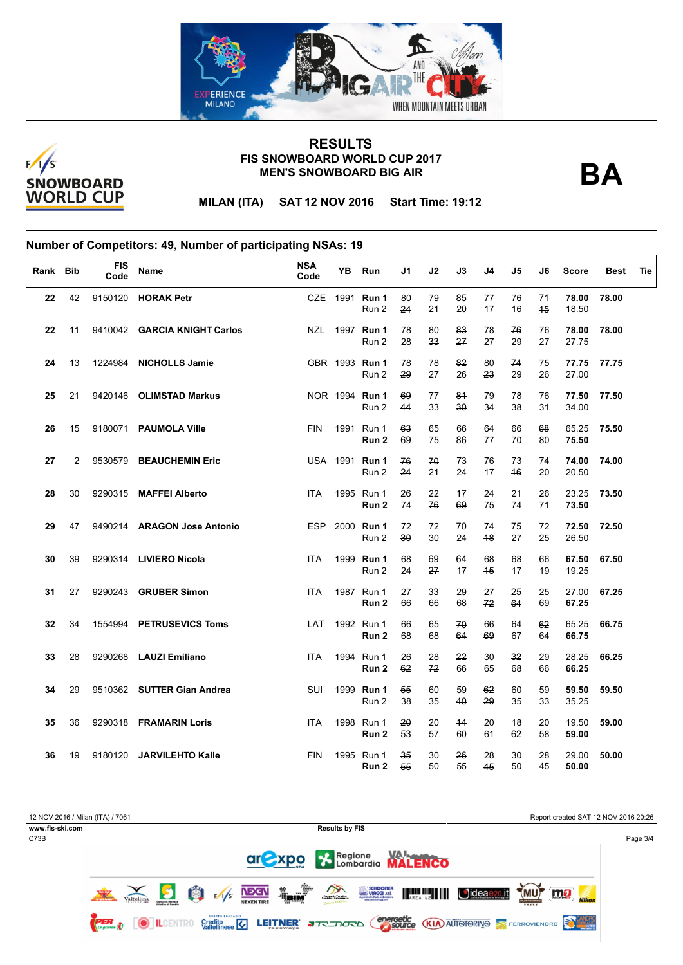



**BA**

**MILAN (ITA) SAT 12 NOV 2016 Start Time: 19:12**

| Rank Bib |    | <b>FIS</b><br>Code | <b>Name</b>                  | <b>NSA</b><br>Code | YB   | Run                            | J1       | J2                    | J3         | J4       | J5       | J6       | <b>Score</b>   | Best  | Tie |
|----------|----|--------------------|------------------------------|--------------------|------|--------------------------------|----------|-----------------------|------------|----------|----------|----------|----------------|-------|-----|
| 22       | 42 |                    | 9150120 HORAK Petr           |                    |      | CZE 1991 Run 1<br>Run 2        | 80<br>24 | 79<br>21              | 85<br>20   | 77<br>17 | 76<br>16 | 74<br>45 | 78.00<br>18.50 | 78.00 |     |
| 22       | 11 |                    | 9410042 GARCIA KNIGHT Carlos | NZL                |      | 1997 Run 1<br>Run 2            | 78<br>28 | 80<br>33              | 83<br>27   | 78<br>27 | 76<br>29 | 76<br>27 | 78.00<br>27.75 | 78.00 |     |
| 24       | 13 | 1224984            | <b>NICHOLLS Jamie</b>        |                    |      | GBR 1993 Run 1<br>Run 2        | 78<br>29 | 78<br>27              | 82<br>26   | 80<br>23 | 74<br>29 | 75<br>26 | 77.75<br>27.00 | 77.75 |     |
| 25       | 21 | 9420146            | <b>OLIMSTAD Markus</b>       |                    |      | NOR 1994 Run 1<br>Run 2        | 69<br>44 | 77<br>33              | 81<br>30   | 79<br>34 | 78<br>38 | 76<br>31 | 77.50<br>34.00 | 77.50 |     |
| 26       | 15 | 9180071            | <b>PAUMOLA Ville</b>         | <b>FIN</b>         |      | 1991 Run 1<br>Run 2            | 63<br>69 | 65<br>75              | 66<br>86   | 64<br>77 | 66<br>70 | 68<br>80 | 65.25<br>75.50 | 75.50 |     |
| 27       | 2  |                    | 9530579 BEAUCHEMIN Eric      |                    |      | USA 1991 <b>Run 1</b><br>Run 2 | 76<br>24 | 70<br>21              | 73<br>24   | 76<br>17 | 73<br>46 | 74<br>20 | 74.00<br>20.50 | 74.00 |     |
| 28       | 30 | 9290315            | <b>MAFFEI Alberto</b>        | <b>ITA</b>         | 1995 | Run 1<br>Run 2                 | 26<br>74 | 22<br>76              | $+7$<br>69 | 24<br>75 | 21<br>74 | 26<br>71 | 23.25<br>73.50 | 73.50 |     |
| 29       | 47 | 9490214            | <b>ARAGON Jose Antonio</b>   | <b>ESP</b>         |      | 2000 Run 1<br>Run 2            | 72<br>30 | 72<br>30              | 70<br>24   | 74<br>48 | 75<br>27 | 72<br>25 | 72.50<br>26.50 | 72.50 |     |
| 30       | 39 |                    | 9290314 LIVIERO Nicola       | <b>ITA</b>         |      | 1999 Run 1<br>Run 2            | 68<br>24 | 69<br>27              | 64<br>17   | 68<br>45 | 68<br>17 | 66<br>19 | 67.50<br>19.25 | 67.50 |     |
| 31       | 27 | 9290243            | <b>GRUBER Simon</b>          | <b>ITA</b>         |      | 1987 Run 1<br>Run 2            | 27<br>66 | 33 <sub>o</sub><br>66 | 29<br>68   | 27<br>72 | 25<br>64 | 25<br>69 | 27.00<br>67.25 | 67.25 |     |
| 32       | 34 | 1554994            | <b>PETRUSEVICS Toms</b>      | LAT                |      | 1992 Run 1<br>Run 2            | 66<br>68 | 65<br>68              | 70<br>64   | 66<br>69 | 64<br>67 | 62<br>64 | 65.25<br>66.75 | 66.75 |     |
| 33       | 28 | 9290268            | <b>LAUZI Emiliano</b>        | <b>ITA</b>         |      | 1994 Run 1<br>Run 2            | 26<br>62 | 28<br>72              | 22<br>66   | 30<br>65 | 32<br>68 | 29<br>66 | 28.25<br>66.25 | 66.25 |     |
| 34       | 29 |                    | 9510362 SUTTER Gian Andrea   | SUI                |      | 1999 Run 1<br>Run 2            | 55<br>38 | 60<br>35              | 59<br>40   | 62<br>29 | 60<br>35 | 59<br>33 | 59.50<br>35.25 | 59.50 |     |
| 35       | 36 |                    | 9290318 FRAMARIN Loris       | <b>ITA</b>         |      | 1998 Run 1<br>Run 2            | 20<br>53 | 20<br>57              | 44<br>60   | 20<br>61 | 18<br>62 | 20<br>58 | 19.50<br>59.00 | 59.00 |     |
| 36       | 19 | 9180120            | <b>JARVILEHTO Kalle</b>      | <b>FIN</b>         |      | 1995 Run 1<br>Run 2            | 35<br>55 | 30<br>50              | 26<br>55   | 28<br>45 | 30<br>50 | 28<br>45 | 29.00<br>50.00 | 50.00 |     |

| 12 NOV 2016 / Milan (ITA) / 7061 | Report created SAT 12 NOV 2016 20:26                                                                                                                                                                                                                                                                                                 |          |
|----------------------------------|--------------------------------------------------------------------------------------------------------------------------------------------------------------------------------------------------------------------------------------------------------------------------------------------------------------------------------------|----------|
| www.fis-ski.com                  | <b>Results by FIS</b>                                                                                                                                                                                                                                                                                                                |          |
| C73B                             |                                                                                                                                                                                                                                                                                                                                      | Page 3/4 |
|                                  | <b>are XPO &amp; Regione WALENCO</b>                                                                                                                                                                                                                                                                                                 |          |
|                                  | <b>Telly</b><br><b>MA</b><br>SCHOONER<br>Agentie In Italia + School<br>Agentie In Italia + School<br>面<br><b>NBGN</b><br>AREA LE<br>(MU)<br>Oideae <sub>20.it</sub><br>rno<br><b>CALL AND THE REAL PROPERTY</b><br>F/1/s<br>Consorzio Turistico<br>Sondrio - Valmelinsco<br>Valtellina<br><b>Nikon</b><br><b>NEXEN TIRE</b><br>***** |          |
|                                  | <b>GRUPPO EANCARIO</b><br><b>energetic (KIA)</b> AUTOTORINO<br><b>PER</b><br>Credito<br>Valtalinece <b>V</b><br><b>LEITNER J</b> TREDORD<br>ш                                                                                                                                                                                        |          |